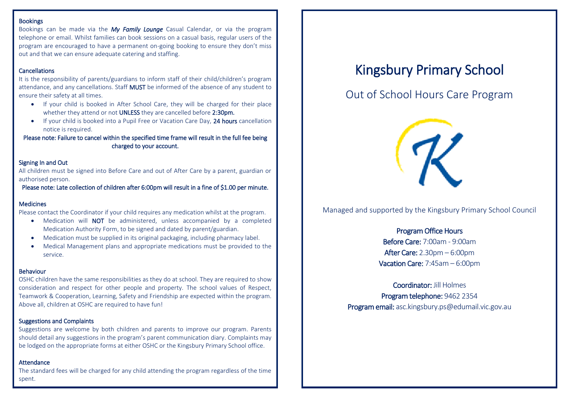#### **Bookings**

Bookings can be made via the *My Family Lounge* Casual Calendar, or via the program telephone or email. Whilst families can book sessions on a casual basis, regular users of the program are encouraged to have a permanent on-going booking to ensure they don't miss out and that we can ensure adequate catering and staffing.

#### **Cancellations**

It is the responsibility of parents/guardians to inform staff of their child/children's program attendance, and any cancellations. Staff MUST be informed of the absence of any student to ensure their safety at all times.

- If your child is booked in After School Care, they will be charged for their place whether they attend or not UNLESS they are cancelled before 2:30pm.
- If your child is booked into a Pupil Free or Vacation Care Day, 24 hours cancellation notice is required.

Please note: Failure to cancel within the specified time frame will result in the full fee being charged to your account.

#### Signing In and Out

All children must be signed into Before Care and out of After Care by a parent, guardian or authorised person.

Please note: Late collection of children after 6:00pm will result in a fine of \$1.00 per minute.

#### Medicines

Please contact the Coordinator if your child requires any medication whilst at the program.

- Medication will **NOT** be administered, unless accompanied by a completed Medication Authority Form, to be signed and dated by parent/guardian.
- Medication must be supplied in its original packaging, including pharmacy label.
- Medical Management plans and appropriate medications must be provided to the service.

#### Behaviour

OSHC children have the same responsibilities as they do at school. They are required to show consideration and respect for other people and property. The school values of Respect, Teamwork & Cooperation, Learning, Safety and Friendship are expected within the program. Above all, children at OSHC are required to have fun!

#### Suggestions and Complaints

Suggestions are welcome by both children and parents to improve our program. Parents should detail any suggestions in the program's parent communication diary. Complaints may be lodged on the appropriate forms at either OSHC or the Kingsbury Primary School office.

#### **Attendance**

The standard fees will be charged for any child attending the program regardless of the time spent.

# Kingsbury Primary School

## Out of School Hours Care Program



Managed and supported by the Kingsbury Primary School Council

### Program Office Hours Before Care: 7:00am - 9:00am After Care: 2.30pm – 6:00pm Vacation Care: 7:45am – 6:00pm

Coordinator: Jill Holmes Program telephone: 9462 2354 Program email: asc.kingsbury.ps@edumail.vic.gov.au